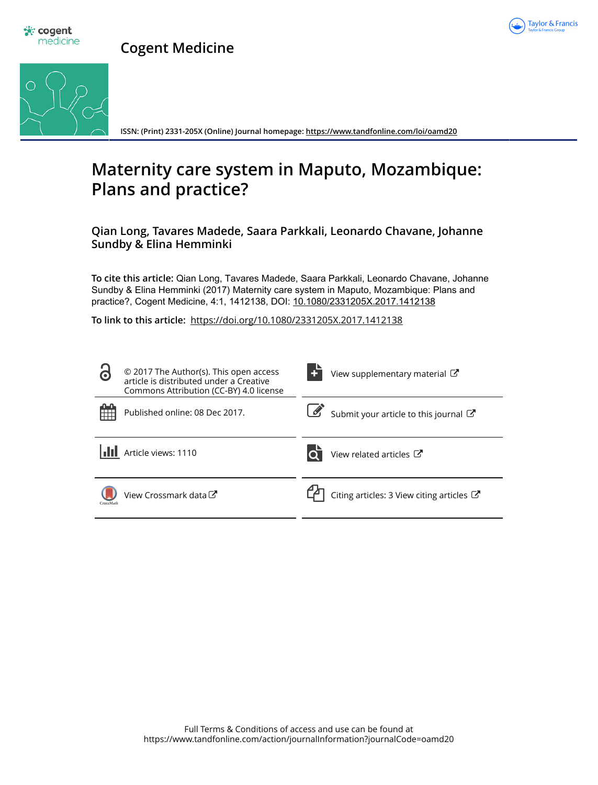

# **Cogent Medicine**



☆ cogent medicine

**ISSN: (Print) 2331-205X (Online) Journal homepage: <https://www.tandfonline.com/loi/oamd20>**

# **Maternity care system in Maputo, Mozambique: Plans and practice?**

**Qian Long, Tavares Madede, Saara Parkkali, Leonardo Chavane, Johanne Sundby & Elina Hemminki**

**To cite this article:** Qian Long, Tavares Madede, Saara Parkkali, Leonardo Chavane, Johanne Sundby & Elina Hemminki (2017) Maternity care system in Maputo, Mozambique: Plans and practice?, Cogent Medicine, 4:1, 1412138, DOI: [10.1080/2331205X.2017.1412138](https://www.tandfonline.com/action/showCitFormats?doi=10.1080/2331205X.2017.1412138)

**To link to this article:** <https://doi.org/10.1080/2331205X.2017.1412138>

| $\bullet$ | © 2017 The Author(s). This open access<br>article is distributed under a Creative<br>Commons Attribution (CC-BY) 4.0 license | View supplementary material C             |
|-----------|------------------------------------------------------------------------------------------------------------------------------|-------------------------------------------|
|           | Published online: 08 Dec 2017.                                                                                               | Submit your article to this journal C     |
|           | Article views: 1110                                                                                                          | View related articles C                   |
| CrossMark | View Crossmark data C                                                                                                        | Citing articles: 3 View citing articles C |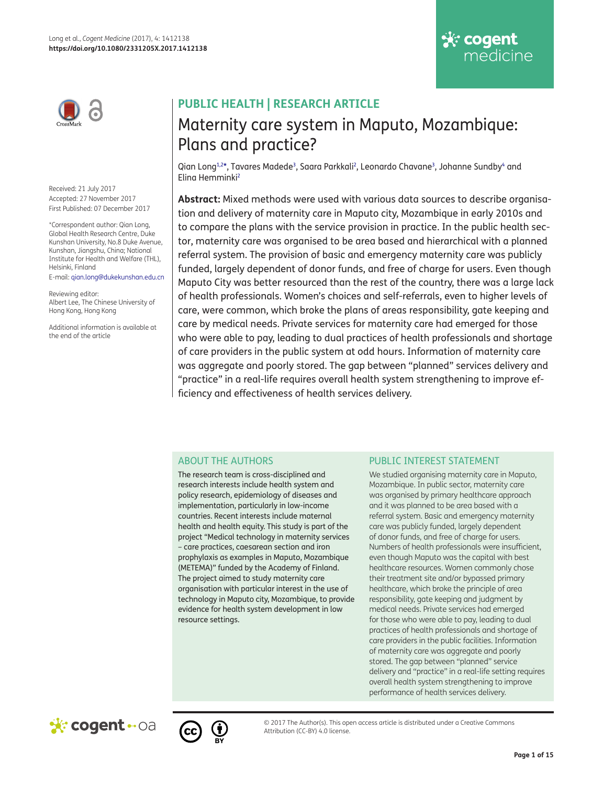



Received: 21 July 2017 Accepted: 27 November 2017 First Published: 07 December 2017

<span id="page-1-0"></span>\*Correspondent author: Qian Long, Global Health Research Centre, Duke Kunshan University, No.8 Duke Avenue, Kunshan, Jiangshu, China; National Institute for Health and Welfare (THL), Helsinki, Finland

E-mail: [qian.long@dukekunshan.edu.cn](mailto:qian.long@dukekunshan.edu.cn)

Reviewing editor: Albert Lee, The Chinese University of Hong Kong, Hong Kong

Additional information is available at the end of the article

# **PUBLIC HEALTH | RESEARCH ARTICLE**

# Maternity care system in Maputo, Mozambique: Plans and practice?

<span id="page-1-1"></span>Qian Long[1](#page-13-0)[,2](#page-13-1)[\\*](#page-1-0), Tavares Madede<sup>[3](#page-13-2)</sup>, Saara Parkkali<sup>2</sup>, Leonardo Chavane<sup>3</sup>, Johanne Sundby<sup>4</sup> and Elina Hemmink[i2](#page-13-1)

**Abstract:** Mixed methods were used with various data sources to describe organisation and delivery of maternity care in Maputo city, Mozambique in early 2010s and to compare the plans with the service provision in practice. In the public health sector, maternity care was organised to be area based and hierarchical with a planned referral system. The provision of basic and emergency maternity care was publicly funded, largely dependent of donor funds, and free of charge for users. Even though Maputo City was better resourced than the rest of the country, there was a large lack of health professionals. Women's choices and self-referrals, even to higher levels of care, were common, which broke the plans of areas responsibility, gate keeping and care by medical needs. Private services for maternity care had emerged for those who were able to pay, leading to dual practices of health professionals and shortage of care providers in the public system at odd hours. Information of maternity care was aggregate and poorly stored. The gap between "planned" services delivery and "practice" in a real-life requires overall health system strengthening to improve efficiency and effectiveness of health services delivery.

# ABOUT THE AUTHORS

The research team is cross-disciplined and research interests include health system and policy research, epidemiology of diseases and implementation, particularly in low-income countries. Recent interests include maternal health and health equity. This study is part of the project "Medical technology in maternity services – care practices, caesarean section and iron prophylaxis as examples in Maputo, Mozambique (METEMA)" funded by the Academy of Finland. The project aimed to study maternity care organisation with particular interest in the use of technology in Maputo city, Mozambique, to provide evidence for health system development in low resource settings.

# PUBLIC INTEREST STATEMENT

We studied organising maternity care in Maputo, Mozambique. In public sector, maternity care was organised by primary healthcare approach and it was planned to be area based with a referral system. Basic and emergency maternity care was publicly funded, largely dependent of donor funds, and free of charge for users. Numbers of health professionals were insufficient, even though Maputo was the capital with best healthcare resources. Women commonly chose their treatment site and/or bypassed primary healthcare, which broke the principle of area responsibility, gate keeping and judgment by medical needs. Private services had emerged for those who were able to pay, leading to dual practices of health professionals and shortage of care providers in the public facilities. Information of maternity care was aggregate and poorly stored. The gap between "planned" service delivery and "practice" in a real-life setting requires overall health system strengthening to improve performance of health services delivery.





© 2017 The Author(s). This open access article is distributed under a Creative Commons Attribution (CC-BY) 4.0 license.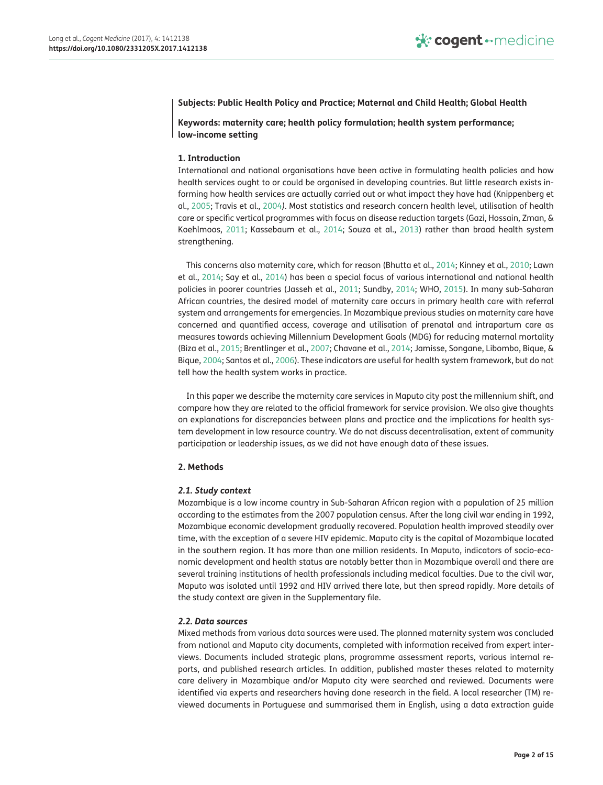### **Subjects: Public Health Policy and Practice; Maternal and Child Health; Global Health**

**Keywords: maternity care; health policy formulation; health system performance; low-income setting**

#### **1. Introduction**

<span id="page-2-15"></span><span id="page-2-9"></span>International and national organisations have been active in formulating health policies and how health services ought to or could be organised in developing countries. But little research exists informing how health services are actually carried out or what impact they have had (Knippenberg et al., [2005;](#page-14-0) Travis et al., [2004](#page-14-1)*)*. Most statistics and research concern health level, utilisation of health care or specific vertical programmes with focus on disease reduction targets (Gazi, Hossain, Zman, & Koehlmoos, [2011;](#page-14-2) Kassebaum et al., [2014](#page-14-3); Souza et al., [2013\)](#page-14-4) rather than broad health system strengthening.

<span id="page-2-16"></span><span id="page-2-14"></span><span id="page-2-13"></span><span id="page-2-12"></span><span id="page-2-10"></span><span id="page-2-8"></span><span id="page-2-7"></span><span id="page-2-6"></span><span id="page-2-4"></span><span id="page-2-0"></span>This concerns also maternity care, which for reason (Bhutta et al., [2014](#page-13-4); Kinney et al., [2010;](#page-14-5) Lawn et al., [2014](#page-14-6); Say et al., [2014\)](#page-14-7) has been a special focus of various international and national health policies in poorer countries (Jasseh et al., [2011](#page-14-8); Sundby, [2014;](#page-14-9) WHO, [2015](#page-14-10)). In many sub-Saharan African countries, the desired model of maternity care occurs in primary health care with referral system and arrangements for emergencies. In Mozambique previous studies on maternity care have concerned and quantified access, coverage and utilisation of prenatal and intrapartum care as measures towards achieving Millennium Development Goals (MDG) for reducing maternal mortality (Biza et al., [2015;](#page-13-5) Brentlinger et al., [2007](#page-13-6); Chavane et al., [2014;](#page-13-7) Jamisse, Songane, Libombo, Bique, & Bique, [2004](#page-14-11); Santos et al., [2006\)](#page-14-12). These indicators are useful for health system framework, but do not tell how the health system works in practice.

<span id="page-2-11"></span><span id="page-2-5"></span><span id="page-2-3"></span><span id="page-2-2"></span><span id="page-2-1"></span>In this paper we describe the maternity care services in Maputo city post the millennium shift, and compare how they are related to the official framework for service provision. We also give thoughts on explanations for discrepancies between plans and practice and the implications for health system development in low resource country*.* We do not discuss decentralisation, extent of community participation or leadership issues, as we did not have enough data of these issues.

### **2. Methods**

#### *2.1. Study context*

Mozambique is a low income country in Sub-Saharan African region with a population of 25 million according to the estimates from the 2007 population census. After the long civil war ending in 1992, Mozambique economic development gradually recovered. Population health improved steadily over time, with the exception of a severe HIV epidemic. Maputo city is the capital of Mozambique located in the southern region. It has more than one million residents. In Maputo, indicators of socio-economic development and health status are notably better than in Mozambique overall and there are several training institutions of health professionals including medical faculties. Due to the civil war, Maputo was isolated until 1992 and HIV arrived there late, but then spread rapidly. More details of the study context are given in the Supplementary file.

### *2.2. Data sources*

Mixed methods from various data sources were used. The planned maternity system was concluded from national and Maputo city documents, completed with information received from expert interviews. Documents included strategic plans, programme assessment reports, various internal reports, and published research articles. In addition, published master theses related to maternity care delivery in Mozambique and/or Maputo city were searched and reviewed. Documents were identified via experts and researchers having done research in the field. A local researcher (TM) reviewed documents in Portuguese and summarised them in English, using a data extraction guide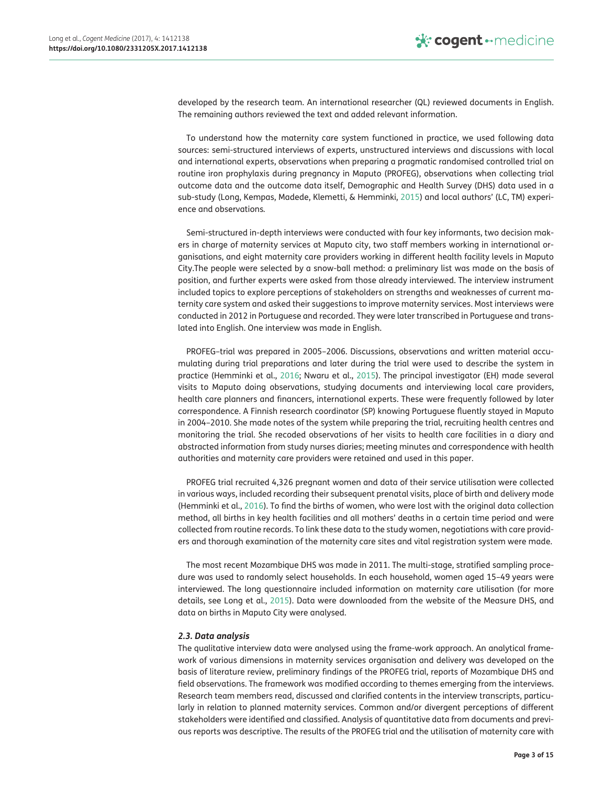developed by the research team. An international researcher (QL) reviewed documents in English. The remaining authors reviewed the text and added relevant information.

To understand how the maternity care system functioned in practice, we used following data sources: semi-structured interviews of experts, unstructured interviews and discussions with local and international experts, observations when preparing a pragmatic randomised controlled trial on routine iron prophylaxis during pregnancy in Maputo (PROFEG), observations when collecting trial outcome data and the outcome data itself, Demographic and Health Survey (DHS) data used in a sub-study (Long, Kempas, Madede, Klemetti, & Hemminki, [2015](#page-14-13)) and local authors' (LC, TM) experience and observations*.*

<span id="page-3-1"></span>Semi-structured in-depth interviews were conducted with four key informants, two decision makers in charge of maternity services at Maputo city, two staff members working in international organisations, and eight maternity care providers working in different health facility levels in Maputo City.The people were selected by a snow-ball method: a preliminary list was made on the basis of position, and further experts were asked from those already interviewed. The interview instrument included topics to explore perceptions of stakeholders on strengths and weaknesses of current maternity care system and asked their suggestions to improve maternity services. Most interviews were conducted in 2012 in Portuguese and recorded. They were later transcribed in Portuguese and translated into English. One interview was made in English.

<span id="page-3-2"></span><span id="page-3-0"></span>PROFEG–trial was prepared in 2005–2006. Discussions, observations and written material accumulating during trial preparations and later during the trial were used to describe the system in practice (Hemminki et al., [2016;](#page-14-14) Nwaru et al., [2015\)](#page-14-15). The principal investigator (EH) made several visits to Maputo doing observations, studying documents and interviewing local care providers, health care planners and financers, international experts. These were frequently followed by later correspondence. A Finnish research coordinator (SP) knowing Portuguese fluently stayed in Maputo in 2004–2010. She made notes of the system while preparing the trial, recruiting health centres and monitoring the trial. She recoded observations of her visits to health care facilities in a diary and abstracted information from study nurses diaries; meeting minutes and correspondence with health authorities and maternity care providers were retained and used in this paper.

PROFEG trial recruited 4,326 pregnant women and data of their service utilisation were collected in various ways, included recording their subsequent prenatal visits, place of birth and delivery mode (Hemminki et al., [2016](#page-14-14)). To find the births of women, who were lost with the original data collection method, all births in key health facilities and all mothers' deaths in a certain time period and were collected from routine records. To link these data to the study women, negotiations with care providers and thorough examination of the maternity care sites and vital registration system were made.

The most recent Mozambique DHS was made in 2011. The multi-stage, stratified sampling procedure was used to randomly select households. In each household, women aged 15–49 years were interviewed. The long questionnaire included information on maternity care utilisation (for more details, see Long et al., [2015](#page-14-13)). Data were downloaded from the website of the Measure DHS, and data on births in Maputo City were analysed.

#### *2.3. Data analysis*

The qualitative interview data were analysed using the frame-work approach. An analytical framework of various dimensions in maternity services organisation and delivery was developed on the basis of literature review, preliminary findings of the PROFEG trial, reports of Mozambique DHS and field observations. The framework was modified according to themes emerging from the interviews. Research team members read, discussed and clarified contents in the interview transcripts, particularly in relation to planned maternity services. Common and/or divergent perceptions of different stakeholders were identified and classified. Analysis of quantitative data from documents and previous reports was descriptive. The results of the PROFEG trial and the utilisation of maternity care with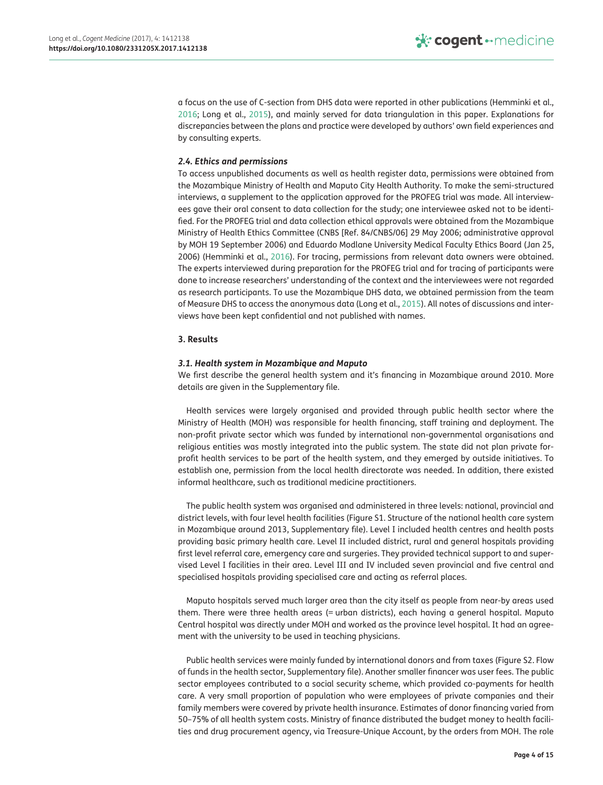a focus on the use of C-section from DHS data were reported in other publications (Hemminki et al., [2016](#page-14-14); Long et al., [2015](#page-14-13)), and mainly served for data triangulation in this paper. Explanations for discrepancies between the plans and practice were developed by authors' own field experiences and by consulting experts.

## *2.4. Ethics and permissions*

To access unpublished documents as well as health register data, permissions were obtained from the Mozambique Ministry of Health and Maputo City Health Authority. To make the semi-structured interviews, a supplement to the application approved for the PROFEG trial was made. All interviewees gave their oral consent to data collection for the study; one interviewee asked not to be identified. For the PROFEG trial and data collection ethical approvals were obtained from the Mozambique Ministry of Health Ethics Committee (CNBS [Ref. 84/CNBS/06] 29 May 2006; administrative approval by MOH 19 September 2006) and Eduardo Modlane University Medical Faculty Ethics Board (Jan 25, 2006) (Hemminki et al., [2016\)](#page-14-14). For tracing, permissions from relevant data owners were obtained. The experts interviewed during preparation for the PROFEG trial and for tracing of participants were done to increase researchers' understanding of the context and the interviewees were not regarded as research participants. To use the Mozambique DHS data, we obtained permission from the team of Measure DHS to access the anonymous data (Long et al., [2015\)](#page-14-13). All notes of discussions and interviews have been kept confidential and not published with names.

### **3. Results**

## *3.1. Health system in Mozambique and Maputo*

We first describe the general health system and it's financing in Mozambique around 2010. More details are given in the Supplementary file.

Health services were largely organised and provided through public health sector where the Ministry of Health (MOH) was responsible for health financing, staff training and deployment. The non-profit private sector which was funded by international non-governmental organisations and religious entities was mostly integrated into the public system. The state did not plan private forprofit health services to be part of the health system, and they emerged by outside initiatives. To establish one, permission from the local health directorate was needed. In addition, there existed informal healthcare, such as traditional medicine practitioners.

The public health system was organised and administered in three levels: national, provincial and district levels, with four level health facilities (Figure S1. Structure of the national health care system in Mozambique around 2013, Supplementary file). Level I included health centres and health posts providing basic primary health care. Level II included district, rural and general hospitals providing first level referral care, emergency care and surgeries. They provided technical support to and supervised Level I facilities in their area. Level III and IV included seven provincial and five central and specialised hospitals providing specialised care and acting as referral places.

Maputo hospitals served much larger area than the city itself as people from near-by areas used them. There were three health areas (= urban districts), each having a general hospital. Maputo Central hospital was directly under MOH and worked as the province level hospital. It had an agreement with the university to be used in teaching physicians.

Public health services were mainly funded by international donors and from taxes (Figure S2. Flow of funds in the health sector, Supplementary file). Another smaller financer was user fees. The public sector employees contributed to a social security scheme, which provided co-payments for health care. A very small proportion of population who were employees of private companies and their family members were covered by private health insurance. Estimates of donor financing varied from 50–75% of all health system costs. Ministry of finance distributed the budget money to health facilities and drug procurement agency, via Treasure-Unique Account, by the orders from MOH. The role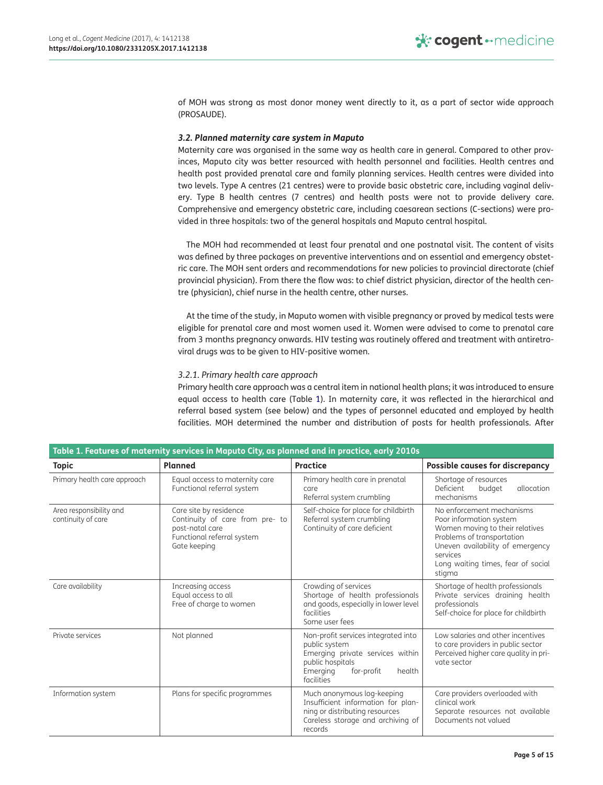of MOH was strong as most donor money went directly to it, as a part of sector wide approach (PROSAUDE).

### *3.2. Planned maternity care system in Maputo*

Maternity care was organised in the same way as health care in general. Compared to other provinces, Maputo city was better resourced with health personnel and facilities. Health centres and health post provided prenatal care and family planning services. Health centres were divided into two levels. Type A centres (21 centres) were to provide basic obstetric care, including vaginal delivery. Type B health centres (7 centres) and health posts were not to provide delivery care. Comprehensive and emergency obstetric care, including caesarean sections (C-sections) were provided in three hospitals: two of the general hospitals and Maputo central hospital.

The MOH had recommended at least four prenatal and one postnatal visit. The content of visits was defined by three packages on preventive interventions and on essential and emergency obstetric care. The MOH sent orders and recommendations for new policies to provincial directorate (chief provincial physician). From there the flow was: to chief district physician, director of the health centre (physician), chief nurse in the health centre, other nurses.

At the time of the study, in Maputo women with visible pregnancy or proved by medical tests were eligible for prenatal care and most women used it. Women were advised to come to prenatal care from 3 months pregnancy onwards. HIV testing was routinely offered and treatment with antiretroviral drugs was to be given to HIV-positive women.

#### *3.2.1. Primary health care approach*

Primary health care approach was a central item in national health plans; it was introduced to ensure equal access to health care (Table [1\)](#page-5-0). In maternity care, it was reflected in the hierarchical and referral based system (see below) and the types of personnel educated and employed by health facilities. MOH determined the number and distribution of posts for health professionals. After

| Tuble 1. Features of maternity services in Maputo City, as planned and in practice, early 2010s |                                                                                                                            |                                                                                                                                                                |                                                                                                                                                                                                                       |  |  |  |
|-------------------------------------------------------------------------------------------------|----------------------------------------------------------------------------------------------------------------------------|----------------------------------------------------------------------------------------------------------------------------------------------------------------|-----------------------------------------------------------------------------------------------------------------------------------------------------------------------------------------------------------------------|--|--|--|
| <b>Topic</b>                                                                                    | Planned                                                                                                                    | Practice                                                                                                                                                       | Possible causes for discrepancy                                                                                                                                                                                       |  |  |  |
| Primary health care approach                                                                    | Equal access to maternity care<br>Functional referral system                                                               | Primary health care in prenatal<br>care<br>Referral system crumbling                                                                                           | Shortage of resources<br>budget<br>allocation<br>Deficient<br>mechanisms                                                                                                                                              |  |  |  |
| Area responsibility and<br>continuity of care                                                   | Care site by residence<br>Continuity of care from pre- to<br>post-natal care<br>Functional referral system<br>Gate keeping | Self-choice for place for childbirth<br>Referral system crumbling<br>Continuity of care deficient                                                              | No enforcement mechanisms<br>Poor information system<br>Women moving to their relatives<br>Problems of transportation<br>Uneven availability of emergency<br>services<br>Long waiting times, fear of social<br>stigma |  |  |  |
| Care availability                                                                               | Increasing access<br>Equal access to all<br>Free of charge to women                                                        | Crowding of services<br>Shortage of health professionals<br>and goods, especially in lower level<br>facilities<br>Some user fees                               | Shortage of health professionals<br>Private services draining health<br>professionals<br>Self-choice for place for childbirth                                                                                         |  |  |  |
| Private services                                                                                | Not planned                                                                                                                | Non-profit services integrated into<br>public system<br>Emerging private services within<br>public hospitals<br>for-profit<br>health<br>Emerging<br>facilities | Low salaries and other incentives<br>to care providers in public sector<br>Perceived higher care quality in pri-<br>vate sector                                                                                       |  |  |  |
| Information system                                                                              | Plans for specific programmes                                                                                              | Much anonymous log-keeping<br>Insufficient information for plan-<br>ning or distributing resources<br>Careless storage and archiving of<br>records             | Care providers overloaded with<br>clinical work<br>Separate resources not available<br>Documents not valued                                                                                                           |  |  |  |

# <span id="page-5-0"></span>**Table 1. Features of maternity services in Maputo City, as planned and in practice, early 2010s**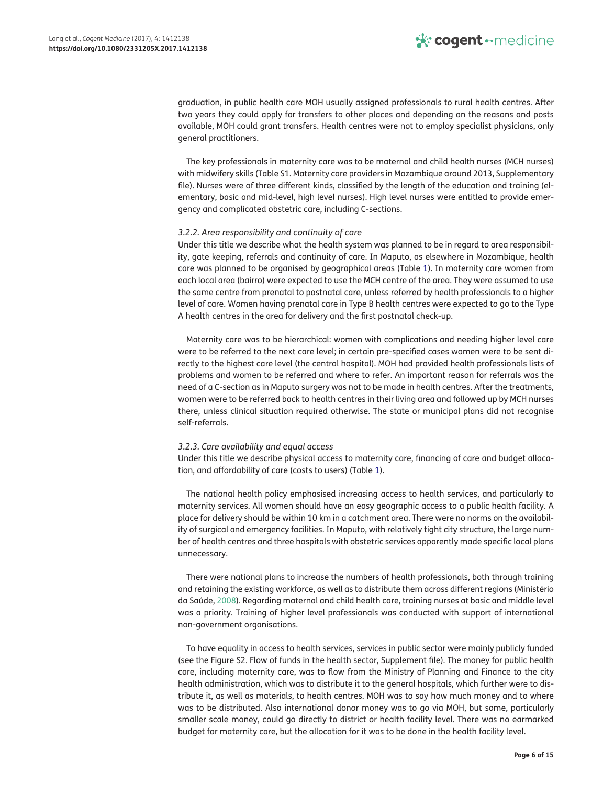graduation, in public health care MOH usually assigned professionals to rural health centres. After two years they could apply for transfers to other places and depending on the reasons and posts available, MOH could grant transfers. Health centres were not to employ specialist physicians, only general practitioners.

The key professionals in maternity care was to be maternal and child health nurses (MCH nurses) with midwifery skills (Table S1. Maternity care providers in Mozambique around 2013, Supplementary file). Nurses were of three different kinds, classified by the length of the education and training (elementary, basic and mid-level, high level nurses). High level nurses were entitled to provide emergency and complicated obstetric care, including C-sections.

### *3.2.2. Area responsibility and continuity of care*

Under this title we describe what the health system was planned to be in regard to area responsibility, gate keeping, referrals and continuity of care. In Maputo, as elsewhere in Mozambique, health care was planned to be organised by geographical areas (Table [1](#page-5-0)). In maternity care women from each local area (bairro) were expected to use the MCH centre of the area. They were assumed to use the same centre from prenatal to postnatal care, unless referred by health professionals to a higher level of care. Women having prenatal care in Type B health centres were expected to go to the Type A health centres in the area for delivery and the first postnatal check-up.

Maternity care was to be hierarchical: women with complications and needing higher level care were to be referred to the next care level; in certain pre-specified cases women were to be sent directly to the highest care level (the central hospital). MOH had provided health professionals lists of problems and women to be referred and where to refer. An important reason for referrals was the need of a C-section as in Maputo surgery was not to be made in health centres. After the treatments, women were to be referred back to health centres in their living area and followed up by MCH nurses there, unless clinical situation required otherwise. The state or municipal plans did not recognise self-referrals.

#### *3.2.3. Care availability and equal access*

Under this title we describe physical access to maternity care, financing of care and budget allocation, and affordability of care (costs to users) (Table [1\)](#page-5-0).

The national health policy emphasised increasing access to health services, and particularly to maternity services. All women should have an easy geographic access to a public health facility. A place for delivery should be within 10 km in a catchment area. There were no norms on the availability of surgical and emergency facilities. In Maputo, with relatively tight city structure, the large number of health centres and three hospitals with obstetric services apparently made specific local plans unnecessary.

<span id="page-6-0"></span>There were national plans to increase the numbers of health professionals, both through training and retaining the existing workforce, as well as to distribute them across different regions (Ministério da Saúde, [2008\)](#page-14-16). Regarding maternal and child health care, training nurses at basic and middle level was a priority. Training of higher level professionals was conducted with support of international non-government organisations.

To have equality in access to health services, services in public sector were mainly publicly funded (see the Figure S2. Flow of funds in the health sector, Supplement file). The money for public health care, including maternity care, was to flow from the Ministry of Planning and Finance to the city health administration, which was to distribute it to the general hospitals, which further were to distribute it, as well as materials, to health centres. MOH was to say how much money and to where was to be distributed. Also international donor money was to go via MOH, but some, particularly smaller scale money, could go directly to district or health facility level. There was no earmarked budget for maternity care, but the allocation for it was to be done in the health facility level.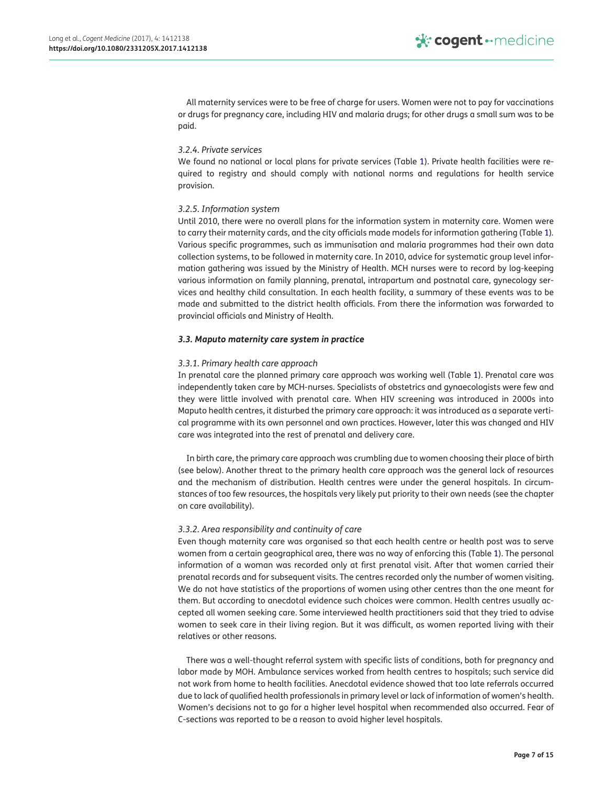All maternity services were to be free of charge for users. Women were not to pay for vaccinations or drugs for pregnancy care, including HIV and malaria drugs; for other drugs a small sum was to be paid.

#### *3.2.4. Private services*

We found no national or local plans for private services (Table [1](#page-5-0)). Private health facilities were required to registry and should comply with national norms and regulations for health service provision.

### *3.2.5. Information system*

Until 2010, there were no overall plans for the information system in maternity care. Women were to carry their maternity cards, and the city officials made models for information gathering (Table [1](#page-5-0))*.* Various specific programmes, such as immunisation and malaria programmes had their own data collection systems, to be followed in maternity care. In 2010, advice for systematic group level information gathering was issued by the Ministry of Health. MCH nurses were to record by log-keeping various information on family planning, prenatal, intrapartum and postnatal care, gynecology services and healthy child consultation. In each health facility, a summary of these events was to be made and submitted to the district health officials. From there the information was forwarded to provincial officials and Ministry of Health.

### *3.3. Maputo maternity care system in practice*

### *3.3.1. Primary health care approach*

In prenatal care the planned primary care approach was working well (Table [1](#page-5-0)). Prenatal care was independently taken care by MCH-nurses. Specialists of obstetrics and gynaecologists were few and they were little involved with prenatal care. When HIV screening was introduced in 2000s into Maputo health centres, it disturbed the primary care approach: it was introduced as a separate vertical programme with its own personnel and own practices. However, later this was changed and HIV care was integrated into the rest of prenatal and delivery care.

In birth care, the primary care approach was crumbling due to women choosing their place of birth (see below). Another threat to the primary health care approach was the general lack of resources and the mechanism of distribution. Health centres were under the general hospitals. In circumstances of too few resources, the hospitals very likely put priority to their own needs (see the chapter on care availability).

### *3.3.2. Area responsibility and continuity of care*

Even though maternity care was organised so that each health centre or health post was to serve women from a certain geographical area, there was no way of enforcing this (Table [1\)](#page-5-0). The personal information of a woman was recorded only at first prenatal visit. After that women carried their prenatal records and for subsequent visits. The centres recorded only the number of women visiting. We do not have statistics of the proportions of women using other centres than the one meant for them. But according to anecdotal evidence such choices were common. Health centres usually accepted all women seeking care. Some interviewed health practitioners said that they tried to advise women to seek care in their living region. But it was difficult, as women reported living with their relatives or other reasons.

There was a well-thought referral system with specific lists of conditions, both for pregnancy and labor made by MOH. Ambulance services worked from health centres to hospitals; such service did not work from home to health facilities. Anecdotal evidence showed that too late referrals occurred due to lack of qualified health professionals in primary level or lack of information of women's health. Women's decisions not to go for a higher level hospital when recommended also occurred. Fear of C-sections was reported to be a reason to avoid higher level hospitals.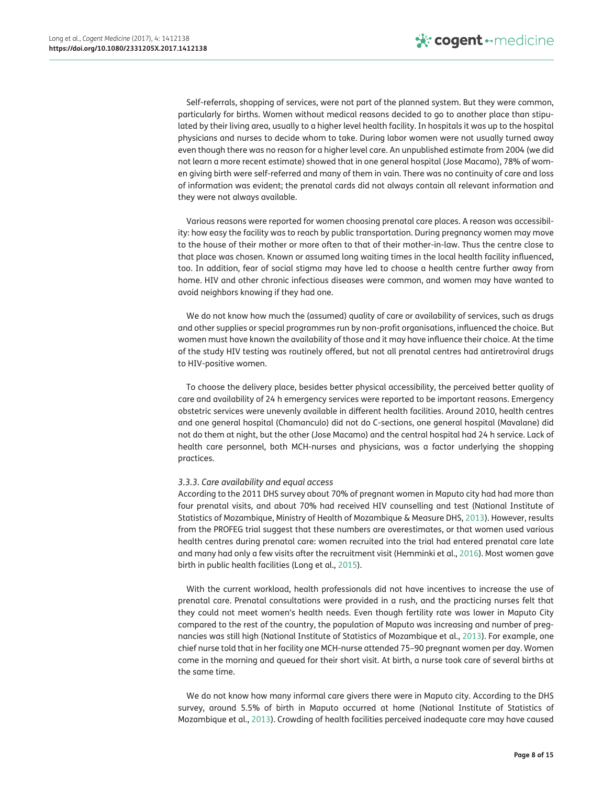Self-referrals, shopping of services, were not part of the planned system. But they were common, particularly for births. Women without medical reasons decided to go to another place than stipulated by their living area, usually to a higher level health facility. In hospitals it was up to the hospital physicians and nurses to decide whom to take. During labor women were not usually turned away even though there was no reason for a higher level care. An unpublished estimate from 2004 (we did not learn a more recent estimate) showed that in one general hospital (Jose Macamo), 78% of women giving birth were self-referred and many of them in vain. There was no continuity of care and loss of information was evident; the prenatal cards did not always contain all relevant information and they were not always available.

Various reasons were reported for women choosing prenatal care places. A reason was accessibility: how easy the facility was to reach by public transportation. During pregnancy women may move to the house of their mother or more often to that of their mother-in-law. Thus the centre close to that place was chosen. Known or assumed long waiting times in the local health facility influenced, too. In addition, fear of social stigma may have led to choose a health centre further away from home. HIV and other chronic infectious diseases were common, and women may have wanted to avoid neighbors knowing if they had one.

We do not know how much the (assumed) quality of care or availability of services, such as drugs and other supplies or special programmes run by non-profit organisations, influenced the choice. But women must have known the availability of those and it may have influence their choice. At the time of the study HIV testing was routinely offered, but not all prenatal centres had antiretroviral drugs to HIV-positive women.

To choose the delivery place, besides better physical accessibility, the perceived better quality of care and availability of 24 h emergency services were reported to be important reasons. Emergency obstetric services were unevenly available in different health facilities. Around 2010, health centres and one general hospital (Chamanculo) did not do C-sections, one general hospital (Mavalane) did not do them at night, but the other (Jose Macamo) and the central hospital had 24 h service. Lack of health care personnel, both MCH-nurses and physicians, was a factor underlying the shopping practices.

### *3.3.3. Care availability and equal access*

<span id="page-8-0"></span>According to the 2011 DHS survey about 70% of pregnant women in Maputo city had had more than four prenatal visits, and about 70% had received HIV counselling and test (National Institute of Statistics of Mozambique, Ministry of Health of Mozambique & Measure DHS, [2013\)](#page-14-17). However, results from the PROFEG trial suggest that these numbers are overestimates, or that women used various health centres during prenatal care: women recruited into the trial had entered prenatal care late and many had only a few visits after the recruitment visit (Hemminki et al., [2016\)](#page-14-14). Most women gave birth in public health facilities (Long et al., [2015](#page-14-13)).

With the current workload, health professionals did not have incentives to increase the use of prenatal care. Prenatal consultations were provided in a rush, and the practicing nurses felt that they could not meet women's health needs. Even though fertility rate was lower in Maputo City compared to the rest of the country, the population of Maputo was increasing and number of pregnancies was still high (National Institute of Statistics of Mozambique et al., [2013\)](#page-14-17). For example, one chief nurse told that in her facility one MCH-nurse attended 75–90 pregnant women per day. Women come in the morning and queued for their short visit. At birth, a nurse took care of several births at the same time.

We do not know how many informal care givers there were in Maputo city. According to the DHS survey, around 5.5% of birth in Maputo occurred at home (National Institute of Statistics of Mozambique et al., [2013\)](#page-14-17). Crowding of health facilities perceived inadequate care may have caused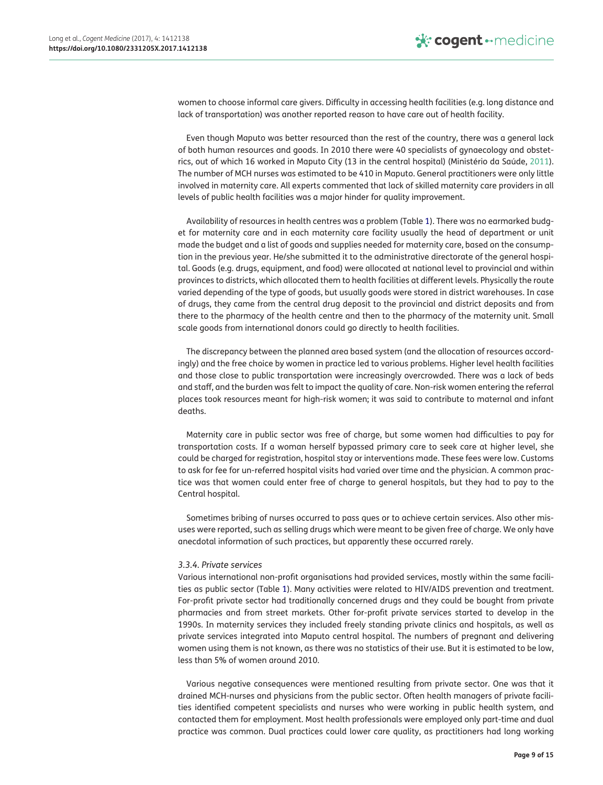women to choose informal care givers. Difficulty in accessing health facilities (e.g. long distance and lack of transportation) was another reported reason to have care out of health facility.

<span id="page-9-0"></span>Even though Maputo was better resourced than the rest of the country, there was a general lack of both human resources and goods. In 2010 there were 40 specialists of gynaecology and obstetrics, out of which 16 worked in Maputo City (13 in the central hospital) (Ministério da Saúde, [2011](#page-14-18)). The number of MCH nurses was estimated to be 410 in Maputo. General practitioners were only little involved in maternity care. All experts commented that lack of skilled maternity care providers in all levels of public health facilities was a major hinder for quality improvement.

Availability of resources in health centres was a problem (Table [1](#page-5-0)). There was no earmarked budget for maternity care and in each maternity care facility usually the head of department or unit made the budget and a list of goods and supplies needed for maternity care, based on the consumption in the previous year. He/she submitted it to the administrative directorate of the general hospital. Goods (e.g. drugs, equipment, and food) were allocated at national level to provincial and within provinces to districts, which allocated them to health facilities at different levels. Physically the route varied depending of the type of goods, but usually goods were stored in district warehouses. In case of drugs, they came from the central drug deposit to the provincial and district deposits and from there to the pharmacy of the health centre and then to the pharmacy of the maternity unit. Small scale goods from international donors could go directly to health facilities.

The discrepancy between the planned area based system (and the allocation of resources accordingly) and the free choice by women in practice led to various problems. Higher level health facilities and those close to public transportation were increasingly overcrowded. There was a lack of beds and staff, and the burden was felt to impact the quality of care. Non-risk women entering the referral places took resources meant for high-risk women; it was said to contribute to maternal and infant deaths.

Maternity care in public sector was free of charge, but some women had difficulties to pay for transportation costs. If a woman herself bypassed primary care to seek care at higher level, she could be charged for registration, hospital stay or interventions made. These fees were low. Customs to ask for fee for un-referred hospital visits had varied over time and the physician. A common practice was that women could enter free of charge to general hospitals, but they had to pay to the Central hospital.

Sometimes bribing of nurses occurred to pass ques or to achieve certain services. Also other misuses were reported, such as selling drugs which were meant to be given free of charge. We only have anecdotal information of such practices, but apparently these occurred rarely.

#### *3.3.4. Private services*

Various international non-profit organisations had provided services, mostly within the same facilities as public sector (Table [1](#page-5-0)). Many activities were related to HIV/AIDS prevention and treatment. For-profit private sector had traditionally concerned drugs and they could be bought from private pharmacies and from street markets. Other for-profit private services started to develop in the 1990s. In maternity services they included freely standing private clinics and hospitals, as well as private services integrated into Maputo central hospital. The numbers of pregnant and delivering women using them is not known, as there was no statistics of their use. But it is estimated to be low, less than 5% of women around 2010.

Various negative consequences were mentioned resulting from private sector. One was that it drained MCH-nurses and physicians from the public sector. Often health managers of private facilities identified competent specialists and nurses who were working in public health system, and contacted them for employment. Most health professionals were employed only part-time and dual practice was common. Dual practices could lower care quality, as practitioners had long working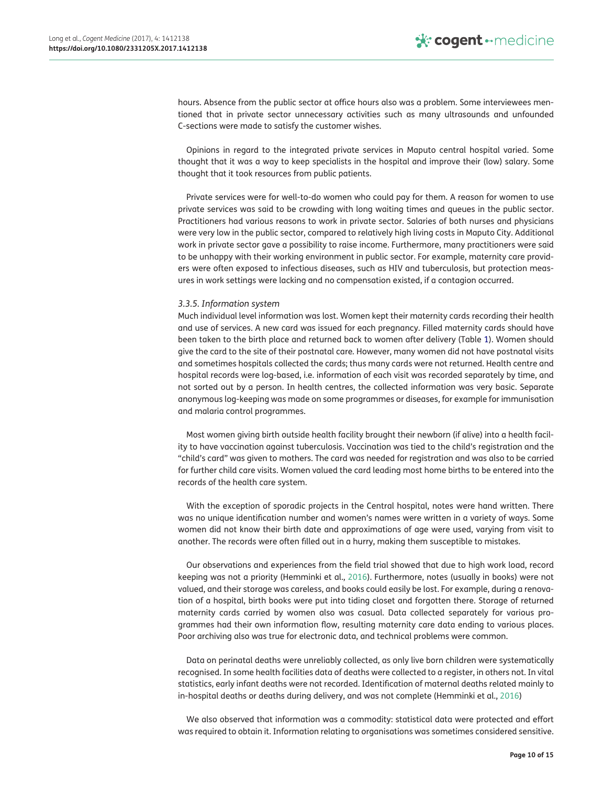hours. Absence from the public sector at office hours also was a problem. Some interviewees mentioned that in private sector unnecessary activities such as many ultrasounds and unfounded C-sections were made to satisfy the customer wishes.

Opinions in regard to the integrated private services in Maputo central hospital varied. Some thought that it was a way to keep specialists in the hospital and improve their (low) salary. Some thought that it took resources from public patients.

Private services were for well-to-do women who could pay for them. A reason for women to use private services was said to be crowding with long waiting times and queues in the public sector. Practitioners had various reasons to work in private sector. Salaries of both nurses and physicians were very low in the public sector, compared to relatively high living costs in Maputo City. Additional work in private sector gave a possibility to raise income. Furthermore, many practitioners were said to be unhappy with their working environment in public sector. For example, maternity care providers were often exposed to infectious diseases, such as HIV and tuberculosis, but protection measures in work settings were lacking and no compensation existed, if a contagion occurred.

#### *3.3.5. Information system*

Much individual level information was lost. Women kept their maternity cards recording their health and use of services. A new card was issued for each pregnancy. Filled maternity cards should have been taken to the birth place and returned back to women after delivery (Table [1](#page-5-0)). Women should give the card to the site of their postnatal care*.* However, many women did not have postnatal visits and sometimes hospitals collected the cards; thus many cards were not returned. Health centre and hospital records were log-based, i.e. information of each visit was recorded separately by time, and not sorted out by a person. In health centres, the collected information was very basic. Separate anonymous log-keeping was made on some programmes or diseases, for example for immunisation and malaria control programmes.

Most women giving birth outside health facility brought their newborn (if alive) into a health facility to have vaccination against tuberculosis. Vaccination was tied to the child's registration and the "child's card" was given to mothers. The card was needed for registration and was also to be carried for further child care visits. Women valued the card leading most home births to be entered into the records of the health care system.

With the exception of sporadic projects in the Central hospital, notes were hand written. There was no unique identification number and women's names were written in a variety of ways. Some women did not know their birth date and approximations of age were used, varying from visit to another. The records were often filled out in a hurry, making them susceptible to mistakes.

Our observations and experiences from the field trial showed that due to high work load, record keeping was not a priority (Hemminki et al., [2016](#page-14-14)). Furthermore, notes (usually in books) were not valued, and their storage was careless, and books could easily be lost. For example, during a renovation of a hospital, birth books were put into tiding closet and forgotten there. Storage of returned maternity cards carried by women also was casual. Data collected separately for various programmes had their own information flow, resulting maternity care data ending to various places. Poor archiving also was true for electronic data, and technical problems were common.

Data on perinatal deaths were unreliably collected, as only live born children were systematically recognised. In some health facilities data of deaths were collected to a register, in others not. In vital statistics, early infant deaths were not recorded. Identification of maternal deaths related mainly to in-hospital deaths or deaths during delivery, and was not complete (Hemminki et al., [2016\)](#page-14-14)

We also observed that information was a commodity: statistical data were protected and effort was required to obtain it. Information relating to organisations was sometimes considered sensitive.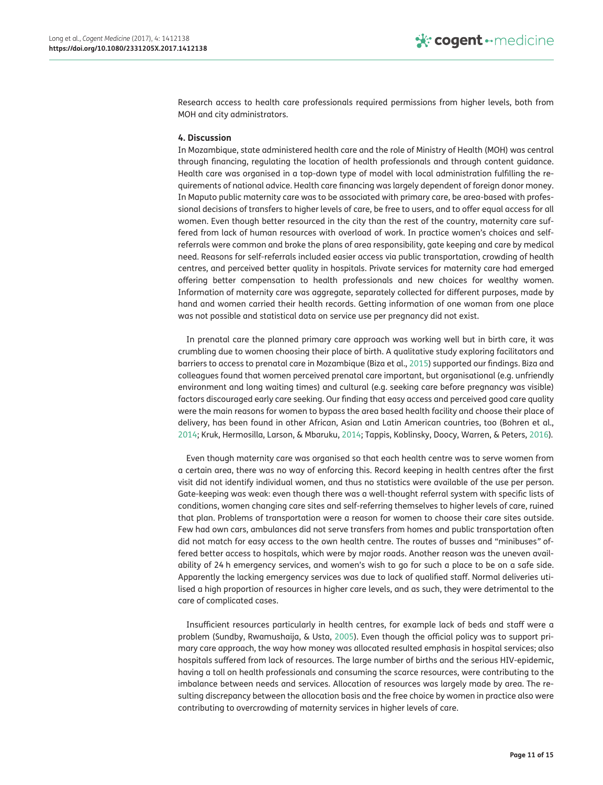Research access to health care professionals required permissions from higher levels, both from MOH and city administrators.

#### **4. Discussion**

In Mozambique, state administered health care and the role of Ministry of Health (MOH) was central through financing, regulating the location of health professionals and through content guidance. Health care was organised in a top-down type of model with local administration fulfilling the requirements of national advice. Health care financing was largely dependent of foreign donor money. In Maputo public maternity care was to be associated with primary care, be area-based with professional decisions of transfers to higher levels of care, be free to users, and to offer equal access for all women. Even though better resourced in the city than the rest of the country, maternity care suffered from lack of human resources with overload of work. In practice women's choices and selfreferrals were common and broke the plans of area responsibility, gate keeping and care by medical need. Reasons for self-referrals included easier access via public transportation, crowding of health centres, and perceived better quality in hospitals. Private services for maternity care had emerged offering better compensation to health professionals and new choices for wealthy women. Information of maternity care was aggregate, separately collected for different purposes, made by hand and women carried their health records. Getting information of one woman from one place was not possible and statistical data on service use per pregnancy did not exist.

In prenatal care the planned primary care approach was working well but in birth care, it was crumbling due to women choosing their place of birth. A qualitative study exploring facilitators and barriers to access to prenatal care in Mozambique (Biza et al., [2015](#page-13-5)) supported our findings. Biza and colleagues found that women perceived prenatal care important, but organisational (e.g. unfriendly environment and long waiting times) and cultural (e.g. seeking care before pregnancy was visible) factors discouraged early care seeking. Our finding that easy access and perceived good care quality were the main reasons for women to bypass the area based health facility and choose their place of delivery, has been found in other African, Asian and Latin American countries, too (Bohren et al., [2014](#page-13-8); Kruk, Hermosilla, Larson, & Mbaruku, [2014](#page-14-19); Tappis, Koblinsky, Doocy, Warren, & Peters, [2016\)](#page-14-20)*.*

<span id="page-11-3"></span><span id="page-11-1"></span><span id="page-11-0"></span>Even though maternity care was organised so that each health centre was to serve women from a certain area, there was no way of enforcing this. Record keeping in health centres after the first visit did not identify individual women, and thus no statistics were available of the use per person. Gate-keeping was weak: even though there was a well-thought referral system with specific lists of conditions, women changing care sites and self-referring themselves to higher levels of care, ruined that plan. Problems of transportation were a reason for women to choose their care sites outside. Few had own cars, ambulances did not serve transfers from homes and public transportation often did not match for easy access to the own health centre. The routes of busses and "minibuses*"* offered better access to hospitals, which were by major roads. Another reason was the uneven availability of 24 h emergency services, and women's wish to go for such a place to be on a safe side. Apparently the lacking emergency services was due to lack of qualified staff. Normal deliveries utilised a high proportion of resources in higher care levels, and as such, they were detrimental to the care of complicated cases.

<span id="page-11-2"></span>Insufficient resources particularly in health centres, for example lack of beds and staff were a problem (Sundby, Rwamushaija, & Usta, [2005\)](#page-14-21). Even though the official policy was to support primary care approach, the way how money was allocated resulted emphasis in hospital services; also hospitals suffered from lack of resources. The large number of births and the serious HIV-epidemic, having a toll on health professionals and consuming the scarce resources, were contributing to the imbalance between needs and services. Allocation of resources was largely made by area. The resulting discrepancy between the allocation basis and the free choice by women in practice also were contributing to overcrowding of maternity services in higher levels of care.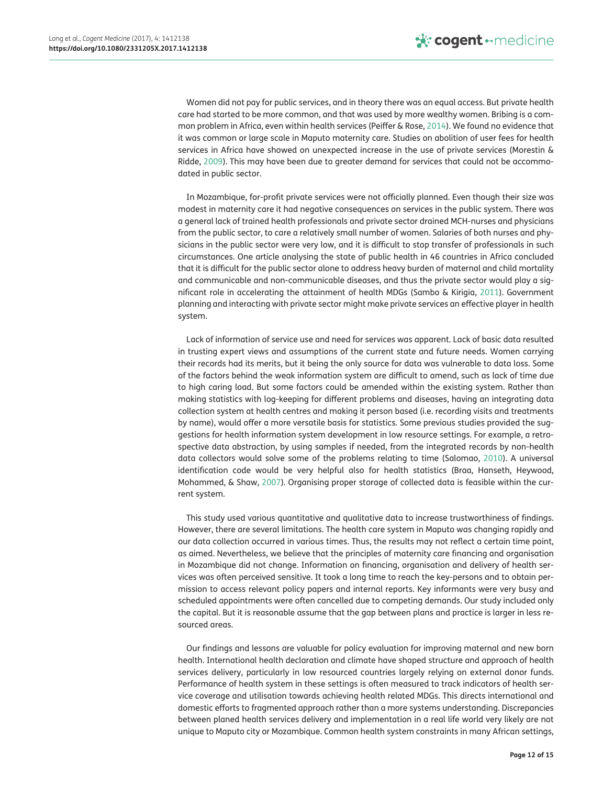<span id="page-12-2"></span>Women did not pay for public services, and in theory there was an equal access. But private health care had started to be more common, and that was used by more wealthy women. Bribing is a common problem in Africa, even within health services (Peiffer & Rose, [2014\)](#page-14-22). We found no evidence that it was common or large scale in Maputo maternity care. Studies on abolition of user fees for health services in Africa have showed on unexpected increase in the use of private services (Morestin & Ridde, [2009](#page-14-23)). This may have been due to greater demand for services that could not be accommodated in public sector.

<span id="page-12-1"></span>In Mozambique, for-profit private services were not officially planned. Even though their size was modest in maternity care it had negative consequences on services in the public system. There was a general lack of trained health professionals and private sector drained MCH-nurses and physicians from the public sector, to care a relatively small number of women. Salaries of both nurses and physicians in the public sector were very low, and it is difficult to stop transfer of professionals in such circumstances. One article analysing the state of public health in 46 countries in Africa concluded that it is difficult for the public sector alone to address heavy burden of maternal and child mortality and communicable and non-communicable diseases, and thus the private sector would play a significant role in accelerating the attainment of health MDGs (Sambo & Kirigia, [2011](#page-14-24)). Government planning and interacting with private sector might make private services an effective player in health system.

<span id="page-12-4"></span>Lack of information of service use and need for services was apparent. Lack of basic data resulted in trusting expert views and assumptions of the current state and future needs. Women carrying their records had its merits, but it being the only source for data was vulnerable to data loss. Some of the factors behind the weak information system are difficult to amend, such as lack of time due to high caring load. But some factors could be amended within the existing system. Rather than making statistics with log-keeping for different problems and diseases, having an integrating data collection system at health centres and making it person based (i.e. recording visits and treatments by name), would offer a more versatile basis for statistics. Some previous studies provided the suggestions for health information system development in low resource settings. For example, a retrospective data abstraction, by using samples if needed, from the integrated records by non-health data collectors would solve some of the problems relating to time (Salomao, [2010](#page-14-25)). A universal identification code would be very helpful also for health statistics (Braa, Hanseth, Heywood, Mohammed, & Shaw, [2007](#page-13-9))*.* Organising proper storage of collected data is feasible within the current system.

<span id="page-12-3"></span><span id="page-12-0"></span>This study used various quantitative and qualitative data to increase trustworthiness of findings. However, there are several limitations. The health care system in Maputo was changing rapidly and our data collection occurred in various times. Thus, the results may not reflect a certain time point, as aimed. Nevertheless, we believe that the principles of maternity care financing and organisation in Mozambique did not change. Information on financing, organisation and delivery of health services was often perceived sensitive. It took a long time to reach the key-persons and to obtain permission to access relevant policy papers and internal reports. Key informants were very busy and scheduled appointments were often cancelled due to competing demands. Our study included only the capital. But it is reasonable assume that the gap between plans and practice is larger in less resourced areas.

Our findings and lessons are valuable for policy evaluation for improving maternal and new born health. International health declaration and climate have shaped structure and approach of health services delivery, particularly in low resourced countries largely relying on external donor funds. Performance of health system in these settings is often measured to track indicators of health service coverage and utilisation towards achieving health related MDGs. This directs international and domestic efforts to fragmented approach rather than a more systems understanding. Discrepancies between planed health services delivery and implementation in a real life world very likely are not unique to Maputo city or Mozambique. Common health system constraints in many African settings,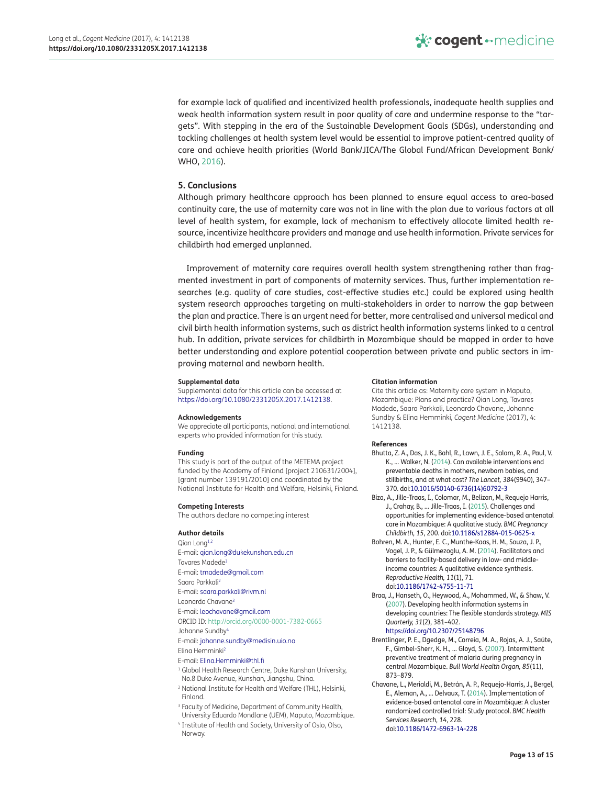for example lack of qualified and incentivized health professionals, inadequate health supplies and weak health information system result in poor quality of care and undermine response to the "targets". With stepping in the era of the Sustainable Development Goals (SDGs), understanding and tackling challenges at health system level would be essential to improve patient-centred quality of care and achieve health priorities (World Bank/JICA/The Global Fund/African Development Bank/ WHO, [2016](#page-14-26)).

#### <span id="page-13-10"></span>**5. Conclusions**

Although primary healthcare approach has been planned to ensure equal access to area-based continuity care, the use of maternity care was not in line with the plan due to various factors at all level of health system, for example, lack of mechanism to effectively allocate limited health resource, incentivize healthcare providers and manage and use health information. Private services for childbirth had emerged unplanned.

Improvement of maternity care requires overall health system strengthening rather than fragmented investment in part of components of maternity services. Thus, further implementation researches (e.g. quality of care studies, cost-effective studies etc.) could be explored using health system research approaches targeting on multi-stakeholders in order to narrow the gap between the plan and practice. There is an urgent need for better, more centralised and universal medical and civil birth health information systems, such as district health information systems linked to a central hub. In addition, private services for childbirth in Mozambique should be mapped in order to have better understanding and explore potential cooperation between private and public sectors in improving maternal and newborn health.

#### **Supplemental data**

Supplemental data for this article can be accessed at <https://doi.org/10.1080/2331205X.2017.1412138>.

#### **Acknowledgements**

We appreciate all participants, national and international experts who provided information for this study.

#### **Funding**

This study is part of the output of the METEMA project funded by the Academy of Finland [project 210631/2004], [grant number 139191/2010] and coordinated by the National Institute for Health and Welfare, Helsinki, Finland.

#### **Competing Interests**

The authors declare no competing interest

#### **Author details**

- Qian Long[1,2](#page-1-1) E-mail: [qian.long@dukekunshan.edu.cn](mailto:qian.long@dukekunshan.edu.cn) Tavares Madede[3](#page-1-1) E-mail: [tmadede@gmail.com](mailto:tmadede@gmail.com) Saara Parkkali[2](#page-1-1) E-mail: [saara.parkkali@rivm.nl](mailto:saara.parkkali@rivm.nl) Leonardo Chavan[e3](#page-1-1) E-mail: [leochavane@gmail.com](mailto:leochavane@gmail.com) ORCID ID:<http://orcid.org/0000-0001-7382-0665> Johanne Sundb[y4](#page-1-1) E-mail: [johanne.sundby@medisin.uio.no](mailto:johanne.sundby@medisin.uio.no) Elina Hemmink[i2](#page-1-1) E-mail: [Elina.Hemminki@thl.fi](mailto:Elina.Hemminki@thl.fi) <sup>1</sup> Global Health Research Centre, Duke Kunshan University, No.8 Duke Avenue, Kunshan, Jiangshu, China. <sup>2</sup> National Institute for Health and Welfare (THL), Helsinki, Finland.
- <span id="page-13-2"></span><span id="page-13-1"></span><span id="page-13-0"></span><sup>3</sup> Faculty of Medicine, Department of Community Health, University Eduardo Mondlane (UEM), Maputo, Mozambique.
- <span id="page-13-3"></span><sup>4</sup> Institute of Health and Society, University of Oslo, Olso, Norway.

#### **Citation information**

Cite this article as: Maternity care system in Maputo, Mozambique: Plans and practice? Qian Long, Tavares Madede, Saara Parkkali, Leonardo Chavane, Johanne Sundby & Elina Hemminki, *Cogent Medicine* (2017), 4: 1412138.

#### **References**

- <span id="page-13-4"></span>Bhutta, Z. A., Das, J. K., Bahl, R., Lawn, J. E., Salam, R. A., Paul, V. K., … Walker, N. [\(2014\)](#page-2-0). Can available interventions end preventable deaths in mothers, newborn babies, and stillbirths, and at what cost? *The Lancet, 384*(9940), 347– 370. doi[:10.1016/S0140-6736\(14\)60792-3](https://doi.org/10.1016/S0140-6736(14)60792-3)
- <span id="page-13-5"></span>Biza, A., Jille-Traas, I., Colomar, M., Belizan, M., Requejo Harris, J., Crahay, B., … Jille-Traas, I. [\(2015](#page-2-1)). Challenges and opportunities for implementing evidence-based antenatal care in Mozambique: A qualitative study. *BMC Pregnancy Childbirth, 15*, 200. doi[:10.1186/s12884-015-0625-x](https://doi.org/10.1186/s12884-015-0625-x)
- <span id="page-13-8"></span>Bohren, M. A., Hunter, E. C., Munthe-Kaas, H. M., Souza, J. P., Vogel, J. P., & Gülmezoglu, A. M. [\(2014\)](#page-11-0). Facilitators and barriers to facility-based delivery in low- and middleincome countries: A qualitative evidence synthesis. *Reproductive Health, 11*(1), 71. doi:[10.1186/1742-4755-11-71](https://doi.org/10.1186/1742-4755-11-71)
- <span id="page-13-9"></span>Braa, J., Hanseth, O., Heywood, A., Mohammed, W., & Shaw, V. [\(2007](#page-12-0)). Developing health information systems in developing countries: The flexible standards strategy. *MIS Quarterly, 31*(2), 381–402[.](https://doi.org/10.2307/25148796) <https://doi.org/10.2307/25148796>
- <span id="page-13-6"></span>Brentlinger, P. E., Dgedge, M., Correia, M. A., Rojas, A. J., Saúte, F., Gimbel-Sherr, K. H., … Gloyd, S. [\(2007\)](#page-2-2). Intermittent preventive treatment of malaria during pregnancy in central Mozambique. *Bull World Health Organ, 85*(11), 873–879.
- <span id="page-13-7"></span>Chavane, L., Merialdi, M., Betrán, A. P., Requejo-Harris, J., Bergel, E., Aleman, A., … Delvaux, T. [\(2014](#page-2-3)). Implementation of evidence-based antenatal care in Mozambique: A cluster randomized controlled trial: Study protocol. *BMC Health Services Research, 14*, 228. doi:[10.1186/1472-6963-14-228](https://doi.org/10.1186/1472-6963-14-228)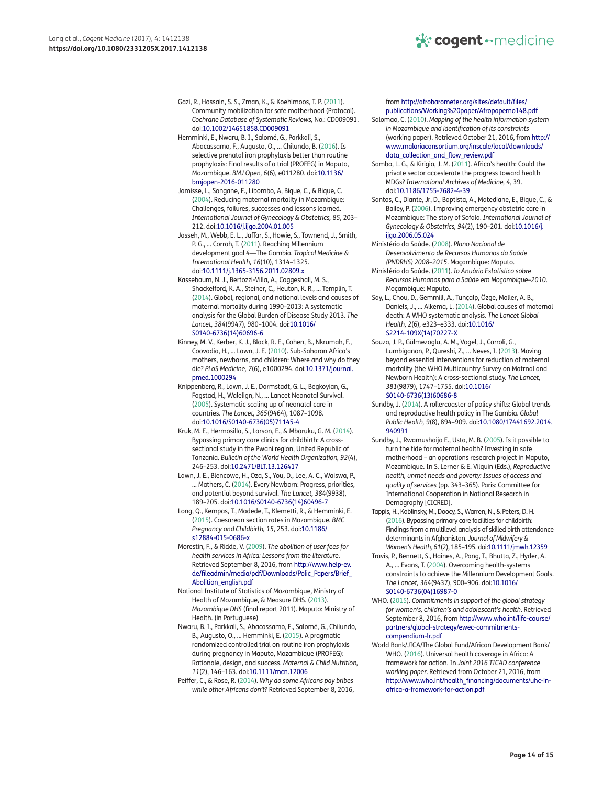- <span id="page-14-2"></span>Gazi, R., Hossain, S. S., Zman, K., & Koehlmoos, T. P. [\(2011](#page-2-4)). Community mobilization for safe motherhood (Protocol). *Cochrane Database of Systematic Reviews,* No.: CD009091. doi:[10.1002/14651858.CD009091](https://doi.org/10.1002/14651858.CD009091)
- <span id="page-14-14"></span>Hemminki, E., Nwaru, B. I., Salomé, G., Parkkali, S., Abacassamo, F., Augusto, O., … Chilundo, B. [\(2016](#page-3-0)). Is selective prenatal iron prophylaxis better than routine prophylaxis: Final results of a trial (PROFEG) in Maputo, Mozambique. *BMJ Open, 6*(6), e011280. doi:[10.1136/](https://doi.org/10.1136/bmjopen-2016-011280) [bmjopen-2016-011280](https://doi.org/10.1136/bmjopen-2016-011280)
- <span id="page-14-11"></span>Jamisse, L., Songane, F., Libombo, A, Bique, C., & Bique, C. [\(2004](#page-2-5)). Reducing maternal mortality in Mozambique: Challenges, failures, successes and lessons learned. *International Journal of Gynecology & Obstetrics, 85*, 203– 212. doi[:10.1016/j.ijgo.2004.01.005](https://doi.org/10.1016/j.ijgo.2004.01.005)
- <span id="page-14-8"></span>Jasseh, M., Webb, E. L., Jaffar, S., Howie, S., Townend, J., Smith, P. G., … Corrah, T. ([2011\)](#page-2-6). Reaching Millennium development goal 4—The Gambia. *Tropical Medicine & International Health, 16*(10), 1314–1325. doi:[10.1111/j.1365-3156.2011.02809.x](https://doi.org/10.1111/j.1365-3156.2011.02809.x)
- <span id="page-14-3"></span>Kassebaum, N. J., Bertozzi-Villa, A., Coggeshall, M. S., Shackelford, K. A., Steiner, C., Heuton, K. R., … Templin, T. [\(2014](#page-2-7)). Global, regional, and national levels and causes of maternal mortality during 1990–2013: A systematic analysis for the Global Burden of Disease Study 2013. *The Lancet, 384*(9947), 980–1004. doi[:10.1016/](https://doi.org/10.1016/S0140-6736(14)60696-6) [S0140-6736\(14\)60696-6](https://doi.org/10.1016/S0140-6736(14)60696-6)
- <span id="page-14-5"></span>Kinney, M. V., Kerber, K. J., Black, R. E., Cohen, B., Nkrumah, F., Coovadia, H., … Lawn, J. E. [\(2010\)](#page-2-8). Sub-Saharan Africa's mothers, newborns, and children: Where and why do they die? *PLoS Medicine, 7*(6), e1000294. doi:[10.1371/journal.](https://doi.org/10.1371/journal.pmed.1000294) [pmed.1000294](https://doi.org/10.1371/journal.pmed.1000294)
- <span id="page-14-0"></span>Knippenberg, R., Lawn, J. E., Darmstadt, G. L., Begkoyian, G., Fogstad, H., Walelign, N., … Lancet Neonatal Survival. [\(2005](#page-2-9)). Systematic scaling up of neonatal care in countries. *The Lancet, 365*(9464), 1087–1098. doi:[10.1016/S0140-6736\(05\)71145-4](https://doi.org/10.1016/S0140-6736(05)71145-4)
- <span id="page-14-19"></span>Kruk, M. E., Hermosilla, S., Larson, E., & Mbaruku, G. M. ([2014\)](#page-11-1). Bypassing primary care clinics for childbirth: A crosssectional study in the Pwani region, United Republic of Tanzania. *Bulletin of the World Health Organization, 92*(4), 246–253. doi[:10.2471/BLT.13.126417](https://doi.org/10.2471/BLT.13.126417)
- <span id="page-14-6"></span>Lawn, J. E., Blencowe, H., Oza, S., You, D., Lee, A. C., Waiswa, P., … Mathers, C. [\(2014](#page-2-10)). Every Newborn: Progress, priorities, and potential beyond survival. *The Lancet, 384*(9938), 189–205. doi[:10.1016/S0140-6736\(14\)60496-7](https://doi.org/10.1016/S0140-6736(14)60496-7)
- <span id="page-14-13"></span>Long, Q., Kempas, T., Madede, T., Klemetti, R., & Hemminki, E. [\(2015](#page-3-1)). Caesarean section rates in Mozambique. *BMC Pregnancy and Childbirth, 15*, 253. doi:[10.1186/](https://doi.org/10.1186/s12884-015-0686-x) [s12884-015-0686-x](https://doi.org/10.1186/s12884-015-0686-x)
- <span id="page-14-23"></span>Morestin, F., & Ridde, V. ([2009](#page-12-1)). *The abolition of user fees for health services in Africa: Lessons from the literature*. Retrieved September 8, 2016, from [http://www.help-ev.](http://www.help-ev.de/fileadmin/media/pdf/Downloads/Polic_Papers/Brief_Abolition_english.pdf) [de/fileadmin/media/pdf/Downloads/Polic\\_Papers/Brief\\_](http://www.help-ev.de/fileadmin/media/pdf/Downloads/Polic_Papers/Brief_Abolition_english.pdf) [Abolition\\_english.pdf](http://www.help-ev.de/fileadmin/media/pdf/Downloads/Polic_Papers/Brief_Abolition_english.pdf)
- <span id="page-14-17"></span>National Institute of Statistics of Mozambique, Ministry of Health of Mozambique, & Measure DHS. [\(2013](#page-8-0)). *Mozambique DHS* (final report 2011). Maputo: Ministry of Health. (in Portuguese)
- <span id="page-14-15"></span>Nwaru, B. I., Parkkali, S., Abacassamo, F., Salomé, G., Chilundo, B., Augusto, O., … Hemminki, E. ([2015\)](#page-3-2). A pragmatic randomized controlled trial on routine iron prophylaxis during pregnancy in Maputo, Mozambique (PROFEG): Rationale, design, and success. *Maternal & Child Nutrition, 11*(2), 146–163. doi[:10.1111/mcn.12006](https://doi.org/10.1111/mcn.12006)
- <span id="page-14-22"></span>Peiffer, C., & Rose, R. [\(2014](#page-12-2)). *Why do some Africans pay bribes while other Africans don't?* Retrieved September 8, 2016,

from [http://afrobarometer.org/sites/default/files/](http://afrobarometer.org/sites/default/files/publications/Working%20paper/Afropaperno148.pdf) [publications/Working%20paper/Afropaperno148.pdf](http://afrobarometer.org/sites/default/files/publications/Working%20paper/Afropaperno148.pdf)

- <span id="page-14-25"></span>Salomao, C. ([2010\)](#page-12-3). *Mapping of the health information system in Mozambique and identification of its constraints* (working paper). Retrieved October 21, 2016, from [http://](http://www.malariaconsortium.org/inscale/local/downloads/data_collection_and_flow_review.pdf) [www.malariaconsortium.org/inscale/local/downloads/](http://www.malariaconsortium.org/inscale/local/downloads/data_collection_and_flow_review.pdf) [data\\_collection\\_and\\_flow\\_review.pdf](http://www.malariaconsortium.org/inscale/local/downloads/data_collection_and_flow_review.pdf)
- <span id="page-14-24"></span>Sambo, L. G., & Kirigia, J. M. ([2011](#page-12-4)). Africa's health: Could the private sector acceslerate the progress toward health MDGs? *International Archives of Medicine, 4*, 39. doi:[10.1186/1755-7682-4-39](https://doi.org/10.1186/1755-7682-4-39)
- <span id="page-14-12"></span>Santos, C., Diante, Jr, D., Baptista, A., Matediane, E., Bique, C., & Bailey, P. [\(2006](#page-2-11)). Improving emergency obstetric care in Mozambique: The story of Sofala. *International Journal of Gynecology & Obstetrics, 94*(2), 190–201. doi[:10.1016/j.](https://doi.org/10.1016/j.ijgo.2006.05.024) [ijgo.2006.05.024](https://doi.org/10.1016/j.ijgo.2006.05.024)
- <span id="page-14-16"></span>Ministério da Saúde. ([2008](#page-6-0)). *Plano Nacional de Desenvolvimento de Recursos Humanos da Saúde (PNDRHS) 2008–2015*. Moçambique: Maputo.
- <span id="page-14-18"></span>Ministério da Saúde. ([2011](#page-9-0)). *Io Anuário Estatístico sobre Recursos Humanos para a Saúde em Moçambique–2010*. Moçambique: Maputo.
- <span id="page-14-7"></span>Say, L., Chou, D., Gemmill, A., Tunçalp, Özge, Moller, A. B., Daniels, J., … Alkema, L. ([2014](#page-2-12)). Global causes of maternal death: A WHO systematic analysis. *The Lancet Global Health, 2*(6), e323–e333. doi[:10.1016/](https://doi.org/10.1016/S2214-109X(14)70227-X) [S2214-109X\(14\)70227-X](https://doi.org/10.1016/S2214-109X(14)70227-X)
- <span id="page-14-4"></span>Souza, J. P., Gülmezoglu, A. M., Vogel, J., Carroli, G., Lumbiganon, P., Qureshi, Z., … Neves, I. [\(2013\)](#page-2-13). Moving beyond essential interventions for reduction of maternal mortality (the WHO Multicountry Survey on Matrnal and Newborn Health): A cross-sectional study. *The Lancet, 381*(9879), 1747–1755. doi[:10.1016/](https://doi.org/10.1016/S0140-6736(13)60686-8) [S0140-6736\(13\)60686-8](https://doi.org/10.1016/S0140-6736(13)60686-8)
- <span id="page-14-9"></span>Sundby, J. [\(2014](#page-2-14)). A rollercoaster of policy shifts: Global trends and reproductive health policy in The Gambia. *Global Public Health, 9*(8), 894–909. doi:[10.1080/17441692.2014.](https://doi.org/10.1080/17441692.2014.940991) [940991](https://doi.org/10.1080/17441692.2014.940991)
- <span id="page-14-21"></span>Sundby, J., Rwamushaija E., Usta, M. B. [\(2005\)](#page-11-2). Is it possible to turn the tide for maternal health? Investing in safe motherhood – an operations research project in Maputo, Mozambique. In S. Lerner & E. Vilquin (Eds.), *Reproductive health, unmet needs and poverty: Issues of access and quality of services* (pp. 343–365)*.* Paris: Committee for International Cooperation in National Research in Demography [CICRED].
- <span id="page-14-20"></span>Tappis, H., Koblinsky, M., Doocy, S., Warren, N., & Peters, D. H. [\(2016](#page-11-3)). Bypassing primary care facilities for childbirth: Findings from a multilevel analysis of skilled birth attendance determinants in Afghanistan. *Journal of Midwifery & Women's Health, 61*(2), 185–195. doi[:10.1111/jmwh.12359](https://doi.org/10.1111/jmwh.12359)
- <span id="page-14-1"></span>Travis, P., Bennett, S., Haines, A., Pang, T., Bhutta, Z., Hyder, A. A., … Evans, T. [\(2004](#page-2-15)). Overcoming health-systems constraints to achieve the Millennium Development Goals. *The Lancet, 364*(9437), 900–906. doi[:10.1016/](https://doi.org/10.1016/S0140-6736(04)16987-0) [S0140-6736\(04\)16987-0](https://doi.org/10.1016/S0140-6736(04)16987-0)
- <span id="page-14-10"></span>WHO. [\(2015](#page-2-16)). *Commitments in support of the global strategy for women's, children's and adolescent's health*. Retrieved September 8, 2016, from [http://www.who.int/life-course/](http://www.who.int/life-course/partners/global-strategy/ewec-commitments-compendium-lr.pdf) [partners/global-strategy/ewec-commitments](http://www.who.int/life-course/partners/global-strategy/ewec-commitments-compendium-lr.pdf)[compendium-lr.pdf](http://www.who.int/life-course/partners/global-strategy/ewec-commitments-compendium-lr.pdf)
- <span id="page-14-26"></span>World Bank/JICA/The Global Fund/African Development Bank/ WHO. ([2016](#page-13-10)). Universal health coverage in Africa: A framework for action. In *Joint 2016 TICAD conference working paper*. Retrieved from October 21, 2016, from [http://www.who.int/health\\_financing/documents/uhc-in](http://www.who.int/health_financing/documents/uhc-in-africa-a-framework-for-action.pdf)[africa-a-framework-for-action.pdf](http://www.who.int/health_financing/documents/uhc-in-africa-a-framework-for-action.pdf)